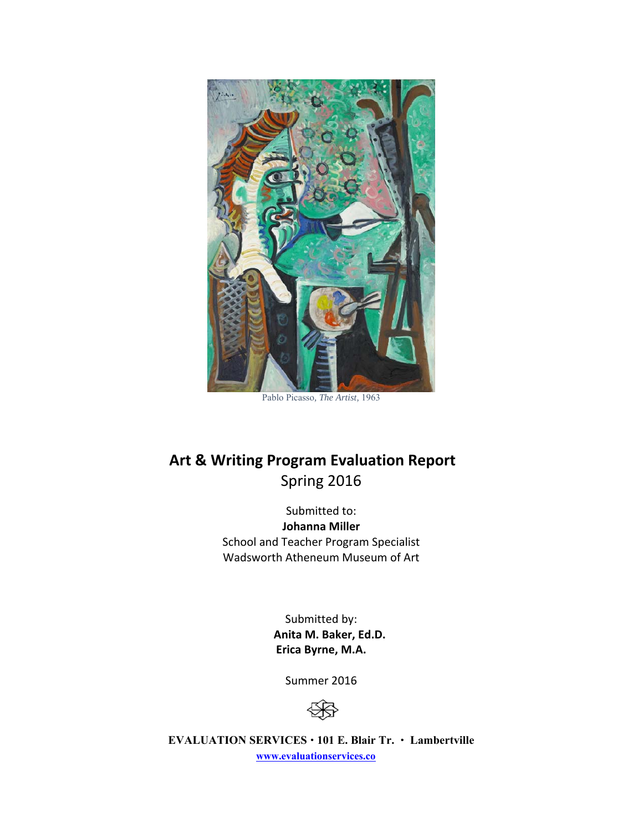

Pablo Picasso*, The Artist,* 1963

# **Art & Writing Program Evaluation Report**  Spring 2016

Submitted to: **Johanna Miller**  School and Teacher Program Specialist Wadsworth Atheneum Museum of Art

> Submitted by:  **Anita M. Baker, Ed.D. Erica Byrne, M.A.**

> > Summer 2016



**EVALUATION SERVICES 101 E. Blair Tr. Lambertville www.evaluationservices.co**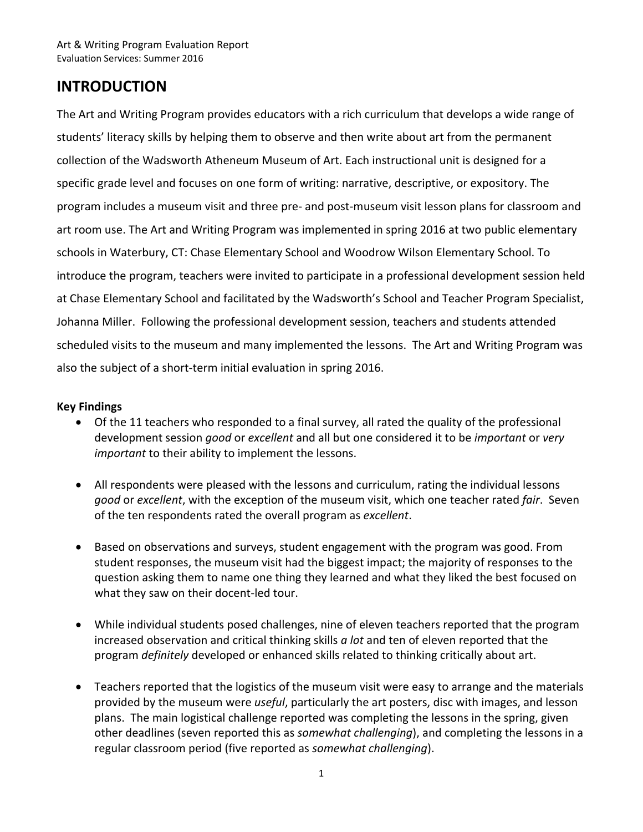# **INTRODUCTION**

The Art and Writing Program provides educators with a rich curriculum that develops a wide range of students' literacy skills by helping them to observe and then write about art from the permanent collection of the Wadsworth Atheneum Museum of Art. Each instructional unit is designed for a specific grade level and focuses on one form of writing: narrative, descriptive, or expository. The program includes a museum visit and three pre‐ and post‐museum visit lesson plans for classroom and art room use. The Art and Writing Program was implemented in spring 2016 at two public elementary schools in Waterbury, CT: Chase Elementary School and Woodrow Wilson Elementary School. To introduce the program, teachers were invited to participate in a professional development session held at Chase Elementary School and facilitated by the Wadsworth's School and Teacher Program Specialist, Johanna Miller. Following the professional development session, teachers and students attended scheduled visits to the museum and many implemented the lessons. The Art and Writing Program was also the subject of a short‐term initial evaluation in spring 2016.

#### **Key Findings**

- Of the 11 teachers who responded to a final survey, all rated the quality of the professional development session *good* or *excellent* and all but one considered it to be *important* or *very important* to their ability to implement the lessons.
- All respondents were pleased with the lessons and curriculum, rating the individual lessons *good* or *excellent*, with the exception of the museum visit, which one teacher rated *fair*. Seven of the ten respondents rated the overall program as *excellent*.
- Based on observations and surveys, student engagement with the program was good. From student responses, the museum visit had the biggest impact; the majority of responses to the question asking them to name one thing they learned and what they liked the best focused on what they saw on their docent‐led tour.
- While individual students posed challenges, nine of eleven teachers reported that the program increased observation and critical thinking skills *a lot* and ten of eleven reported that the program *definitely* developed or enhanced skills related to thinking critically about art.
- Teachers reported that the logistics of the museum visit were easy to arrange and the materials provided by the museum were *useful*, particularly the art posters, disc with images, and lesson plans. The main logistical challenge reported was completing the lessons in the spring, given other deadlines (seven reported this as *somewhat challenging*), and completing the lessons in a regular classroom period (five reported as *somewhat challenging*).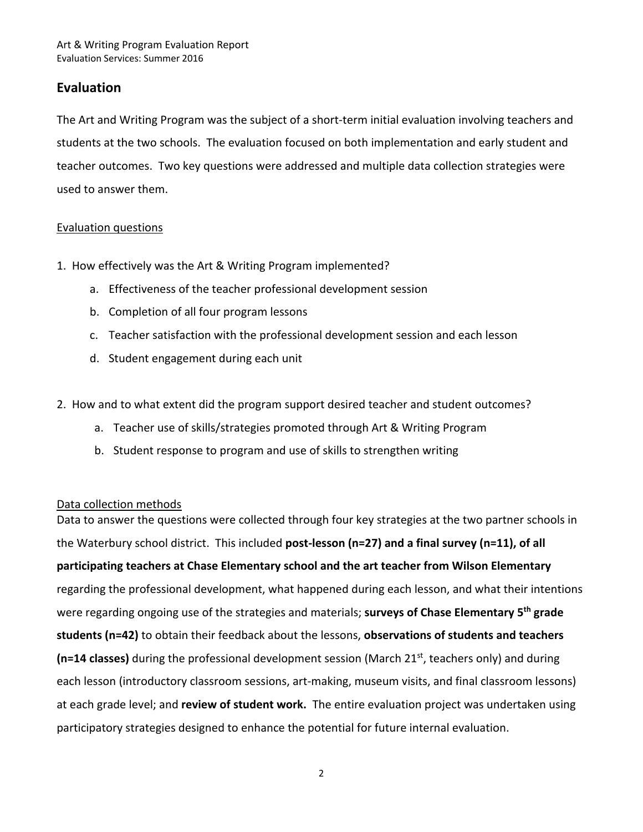#### **Evaluation**

The Art and Writing Program was the subject of a short-term initial evaluation involving teachers and students at the two schools. The evaluation focused on both implementation and early student and teacher outcomes. Two key questions were addressed and multiple data collection strategies were used to answer them.

#### Evaluation questions

- 1. How effectively was the Art & Writing Program implemented?
	- a. Effectiveness of the teacher professional development session
	- b. Completion of all four program lessons
	- c. Teacher satisfaction with the professional development session and each lesson
	- d. Student engagement during each unit
- 2. How and to what extent did the program support desired teacher and student outcomes?
	- a. Teacher use of skills/strategies promoted through Art & Writing Program
	- b. Student response to program and use of skills to strengthen writing

#### Data collection methods

Data to answer the questions were collected through four key strategies at the two partner schools in the Waterbury school district. This included **post‐lesson (n=27) and a final survey (n=11), of all participating teachers at Chase Elementary school and the art teacher from Wilson Elementary**  regarding the professional development, what happened during each lesson, and what their intentions were regarding ongoing use of the strategies and materials; **surveys of Chase Elementary 5th grade students (n=42)** to obtain their feedback about the lessons, **observations of students and teachers**  (n=14 classes) during the professional development session (March 21<sup>st</sup>, teachers only) and during each lesson (introductory classroom sessions, art-making, museum visits, and final classroom lessons) at each grade level; and **review of student work.** The entire evaluation project was undertaken using participatory strategies designed to enhance the potential for future internal evaluation.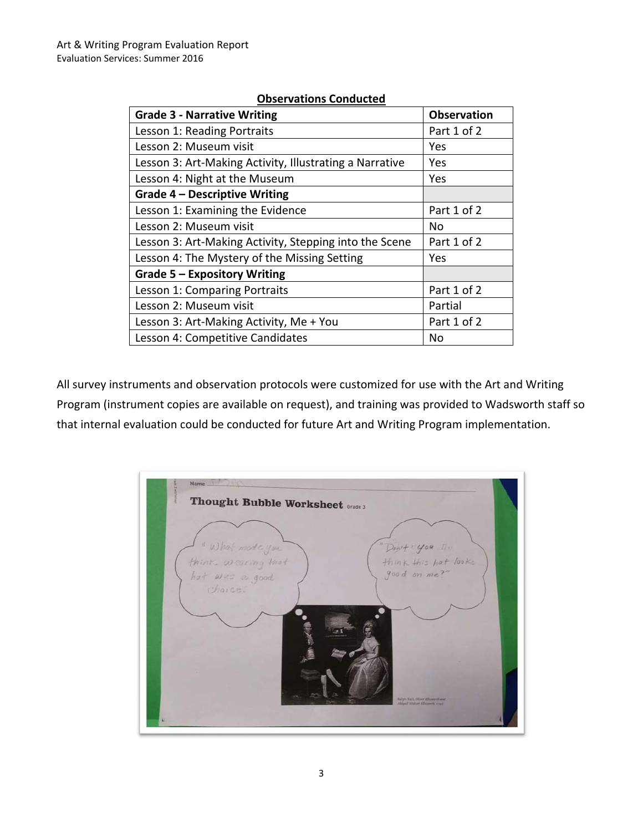| <b>Grade 3 - Narrative Writing</b>                      | <b>Observation</b> |  |
|---------------------------------------------------------|--------------------|--|
| Lesson 1: Reading Portraits                             | Part 1 of 2        |  |
| Lesson 2: Museum visit                                  | Yes                |  |
| Lesson 3: Art-Making Activity, Illustrating a Narrative | Yes                |  |
| Lesson 4: Night at the Museum                           | Yes                |  |
| <b>Grade 4 - Descriptive Writing</b>                    |                    |  |
| Lesson 1: Examining the Evidence                        | Part 1 of 2        |  |
| Lesson 2: Museum visit                                  | No                 |  |
| Lesson 3: Art-Making Activity, Stepping into the Scene  | Part 1 of 2        |  |
| Lesson 4: The Mystery of the Missing Setting            | Yes                |  |
| Grade $5 -$ Expository Writing                          |                    |  |
| Lesson 1: Comparing Portraits                           | Part 1 of 2        |  |
| Lesson 2: Museum visit                                  | Partial            |  |
| Lesson 3: Art-Making Activity, Me + You                 | Part 1 of 2        |  |
| Lesson 4: Competitive Candidates                        | No                 |  |

#### **Observations Conducted**

All survey instruments and observation protocols were customized for use with the Art and Writing Program (instrument copies are available on request), and training was provided to Wadsworth staff so that internal evaluation could be conducted for future Art and Writing Program implementation.

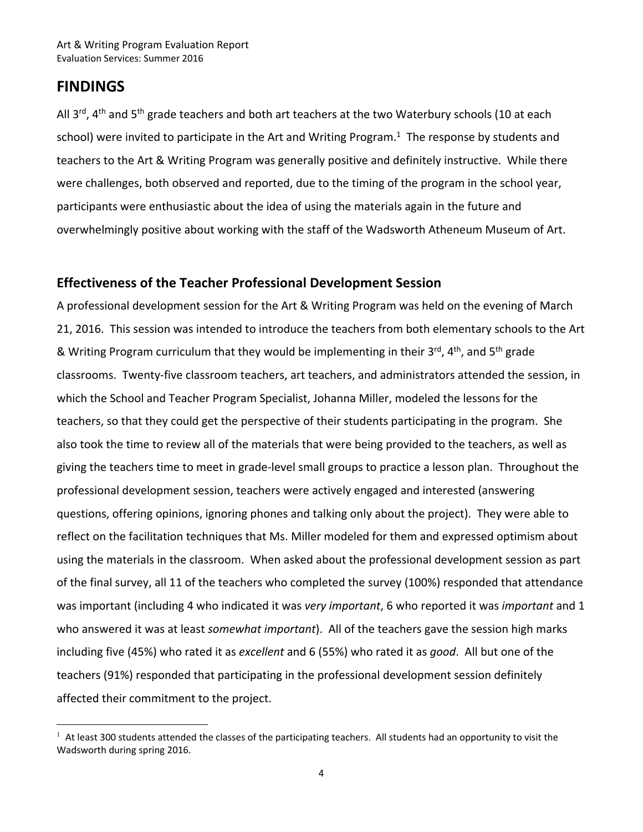## **FINDINGS**

 $\overline{a}$ 

All 3<sup>rd</sup>, 4<sup>th</sup> and 5<sup>th</sup> grade teachers and both art teachers at the two Waterbury schools (10 at each school) were invited to participate in the Art and Writing Program. $1$  The response by students and teachers to the Art & Writing Program was generally positive and definitely instructive. While there were challenges, both observed and reported, due to the timing of the program in the school year, participants were enthusiastic about the idea of using the materials again in the future and overwhelmingly positive about working with the staff of the Wadsworth Atheneum Museum of Art.

#### **Effectiveness of the Teacher Professional Development Session**

A professional development session for the Art & Writing Program was held on the evening of March 21, 2016. This session was intended to introduce the teachers from both elementary schools to the Art & Writing Program curriculum that they would be implementing in their  $3^{rd}$ ,  $4^{th}$ , and  $5^{th}$  grade classrooms. Twenty‐five classroom teachers, art teachers, and administrators attended the session, in which the School and Teacher Program Specialist, Johanna Miller, modeled the lessons for the teachers, so that they could get the perspective of their students participating in the program. She also took the time to review all of the materials that were being provided to the teachers, as well as giving the teachers time to meet in grade‐level small groups to practice a lesson plan. Throughout the professional development session, teachers were actively engaged and interested (answering questions, offering opinions, ignoring phones and talking only about the project). They were able to reflect on the facilitation techniques that Ms. Miller modeled for them and expressed optimism about using the materials in the classroom. When asked about the professional development session as part of the final survey, all 11 of the teachers who completed the survey (100%) responded that attendance was important (including 4 who indicated it was *very important*, 6 who reported it was *important* and 1 who answered it was at least *somewhat important*). All of the teachers gave the session high marks including five (45%) who rated it as *excellent* and 6 (55%) who rated it as *good*. All but one of the teachers (91%) responded that participating in the professional development session definitely affected their commitment to the project.

 $1$  At least 300 students attended the classes of the participating teachers. All students had an opportunity to visit the Wadsworth during spring 2016.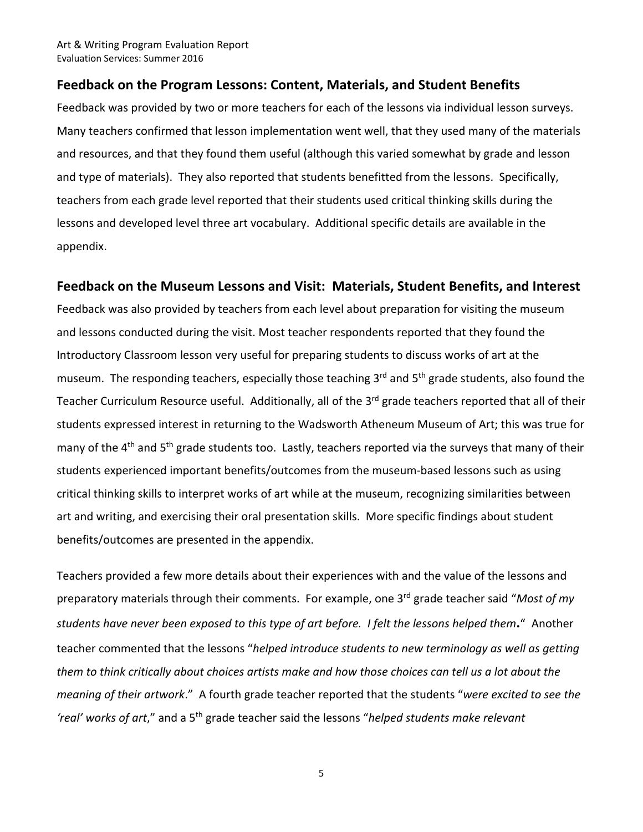#### **Feedback on the Program Lessons: Content, Materials, and Student Benefits**

Feedback was provided by two or more teachers for each of the lessons via individual lesson surveys. Many teachers confirmed that lesson implementation went well, that they used many of the materials and resources, and that they found them useful (although this varied somewhat by grade and lesson and type of materials). They also reported that students benefitted from the lessons. Specifically, teachers from each grade level reported that their students used critical thinking skills during the lessons and developed level three art vocabulary. Additional specific details are available in the appendix.

#### **Feedback on the Museum Lessons and Visit: Materials, Student Benefits, and Interest**

Feedback was also provided by teachers from each level about preparation for visiting the museum and lessons conducted during the visit. Most teacher respondents reported that they found the Introductory Classroom lesson very useful for preparing students to discuss works of art at the museum. The responding teachers, especially those teaching 3<sup>rd</sup> and 5<sup>th</sup> grade students, also found the Teacher Curriculum Resource useful. Additionally, all of the 3<sup>rd</sup> grade teachers reported that all of their students expressed interest in returning to the Wadsworth Atheneum Museum of Art; this was true for many of the 4<sup>th</sup> and 5<sup>th</sup> grade students too. Lastly, teachers reported via the surveys that many of their students experienced important benefits/outcomes from the museum‐based lessons such as using critical thinking skills to interpret works of art while at the museum, recognizing similarities between art and writing, and exercising their oral presentation skills. More specific findings about student benefits/outcomes are presented in the appendix.

Teachers provided a few more details about their experiences with and the value of the lessons and preparatory materials through their comments. For example, one 3rd grade teacher said "*Most of my students have never been exposed to this type of art before. I felt the lessons helped them***.**" Another teacher commented that the lessons "*helped introduce students to new terminology as well as getting them to think critically about choices artists make and how those choices can tell us a lot about the meaning of their artwork*." A fourth grade teacher reported that the students "*were excited to see the 'real' works of art*," and a 5th grade teacher said the lessons "*helped students make relevant* 

5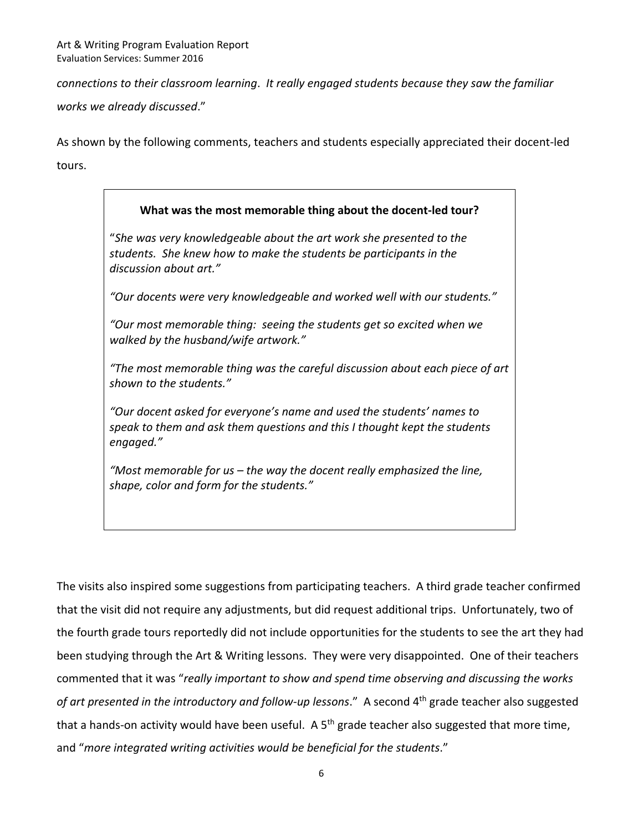*connections to their classroom learning*. *It really engaged students because they saw the familiar works we already discussed*." 

As shown by the following comments, teachers and students especially appreciated their docent‐led tours.

# **What was the most memorable thing about the docent‐led tour?**  "*She was very knowledgeable about the art work she presented to the students. She knew how to make the students be participants in the discussion about art."*

*"Our docents were very knowledgeable and worked well with our students."* 

*"Our most memorable thing: seeing the students get so excited when we walked by the husband/wife artwork."* 

*"The most memorable thing was the careful discussion about each piece of art shown to the students."* 

*"Our docent asked for everyone's name and used the students' names to speak to them and ask them questions and this I thought kept the students engaged."* 

*"Most memorable for us – the way the docent really emphasized the line, shape, color and form for the students."* 

The visits also inspired some suggestions from participating teachers. A third grade teacher confirmed that the visit did not require any adjustments, but did request additional trips. Unfortunately, two of the fourth grade tours reportedly did not include opportunities for the students to see the art they had been studying through the Art & Writing lessons. They were very disappointed. One of their teachers commented that it was "*really important to show and spend time observing and discussing the works*  of art presented in the introductory and follow-up lessons." A second 4<sup>th</sup> grade teacher also suggested that a hands-on activity would have been useful. A 5<sup>th</sup> grade teacher also suggested that more time, and "*more integrated writing activities would be beneficial for the students*."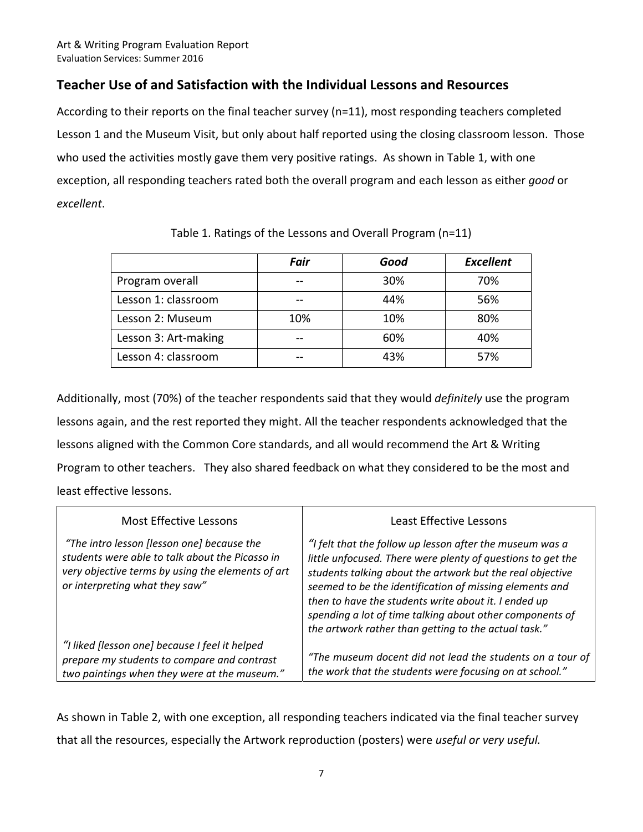## **Teacher Use of and Satisfaction with the Individual Lessons and Resources**

According to their reports on the final teacher survey (n=11), most responding teachers completed Lesson 1 and the Museum Visit, but only about half reported using the closing classroom lesson. Those who used the activities mostly gave them very positive ratings. As shown in Table 1, with one exception, all responding teachers rated both the overall program and each lesson as either *good* or *excellent*.

|                      | Fair | Good | <b>Excellent</b> |
|----------------------|------|------|------------------|
| Program overall      |      | 30%  | 70%              |
| Lesson 1: classroom  |      | 44%  | 56%              |
| Lesson 2: Museum     | 10%  | 10%  | 80%              |
| Lesson 3: Art-making |      | 60%  | 40%              |
| Lesson 4: classroom  |      | 43%  | 57%              |

Table 1. Ratings of the Lessons and Overall Program (n=11)

Additionally, most (70%) of the teacher respondents said that they would *definitely* use the program lessons again, and the rest reported they might. All the teacher respondents acknowledged that the lessons aligned with the Common Core standards, and all would recommend the Art & Writing Program to other teachers. They also shared feedback on what they considered to be the most and least effective lessons.

| Most Effective Lessons                                                                                                                                                               | Least Effective Lessons                                                                                                                                                                                                                                                                                                                                                                                                     |
|--------------------------------------------------------------------------------------------------------------------------------------------------------------------------------------|-----------------------------------------------------------------------------------------------------------------------------------------------------------------------------------------------------------------------------------------------------------------------------------------------------------------------------------------------------------------------------------------------------------------------------|
| "The intro lesson [lesson one] because the<br>students were able to talk about the Picasso in<br>very objective terms by using the elements of art<br>or interpreting what they saw" | "I felt that the follow up lesson after the museum was a<br>little unfocused. There were plenty of questions to get the<br>students talking about the artwork but the real objective<br>seemed to be the identification of missing elements and<br>then to have the students write about it. I ended up<br>spending a lot of time talking about other components of<br>the artwork rather than getting to the actual task." |
| "I liked [lesson one] because I feel it helped<br>prepare my students to compare and contrast<br>two paintings when they were at the museum."                                        | "The museum docent did not lead the students on a tour of<br>the work that the students were focusing on at school."                                                                                                                                                                                                                                                                                                        |

As shown in Table 2, with one exception, all responding teachers indicated via the final teacher survey that all the resources, especially the Artwork reproduction (posters) were *useful or very useful.*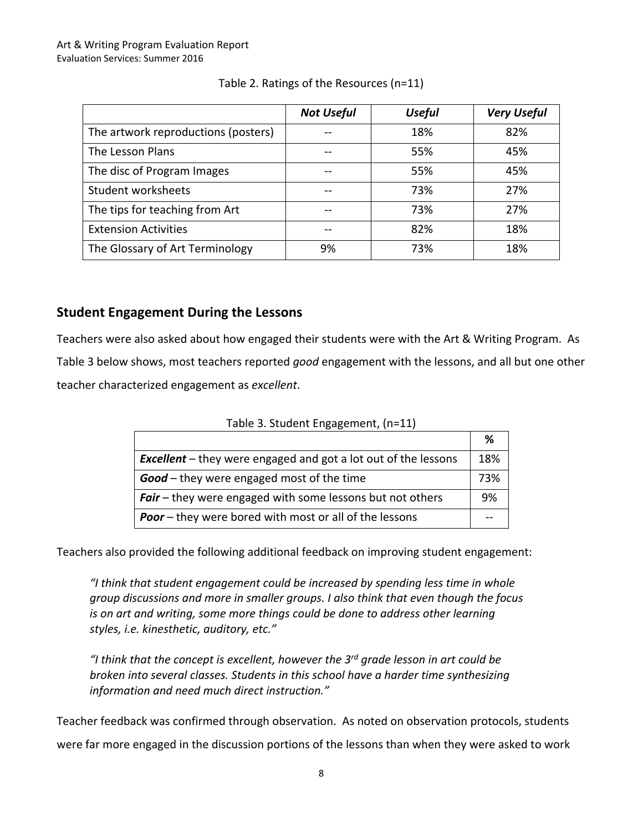|                                     | <b>Not Useful</b> | <b>Useful</b> | <b>Very Useful</b> |
|-------------------------------------|-------------------|---------------|--------------------|
| The artwork reproductions (posters) |                   | 18%           | 82%                |
| The Lesson Plans                    | --                | 55%           | 45%                |
| The disc of Program Images          |                   | 55%           | 45%                |
| Student worksheets                  | --                | 73%           | 27%                |
| The tips for teaching from Art      | --                | 73%           | 27%                |
| <b>Extension Activities</b>         | --                | 82%           | 18%                |
| The Glossary of Art Terminology     | 9%                | 73%           | 18%                |

#### Table 2. Ratings of the Resources (n=11)

### **Student Engagement During the Lessons**

Teachers were also asked about how engaged their students were with the Art & Writing Program. As Table 3 below shows, most teachers reported *good* engagement with the lessons, and all but one other teacher characterized engagement as *excellent*.

| Table 3. Student Engagement, (n=11)                |
|----------------------------------------------------|
|                                                    |
| thou waxa angagad and gat a lat qut of the lessons |

**%** 

| <b>Excellent</b> – they were engaged and got a lot out of the lessons | 18% |
|-----------------------------------------------------------------------|-----|
| <b>Good</b> – they were engaged most of the time                      | 73% |
| <b>Fair</b> – they were engaged with some lessons but not others      | 9%  |
| <b>Poor</b> – they were bored with most or all of the lessons         |     |

Teachers also provided the following additional feedback on improving student engagement:

*"I think that student engagement could be increased by spending less time in whole group discussions and more in smaller groups. I also think that even though the focus is on art and writing, some more things could be done to address other learning styles, i.e. kinesthetic, auditory, etc."* 

*"I think that the concept is excellent, however the 3rd grade lesson in art could be broken into several classes. Students in this school have a harder time synthesizing information and need much direct instruction."* 

Teacher feedback was confirmed through observation. As noted on observation protocols, students were far more engaged in the discussion portions of the lessons than when they were asked to work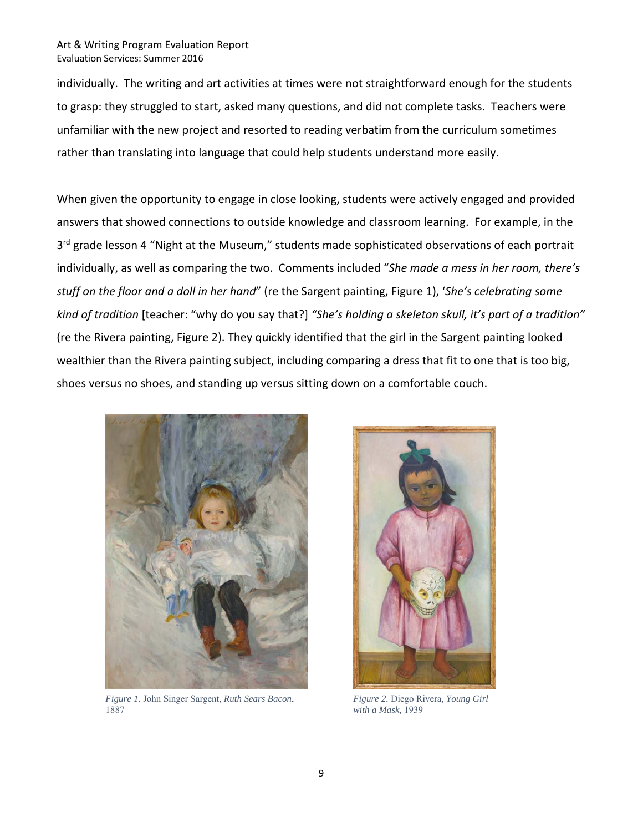individually. The writing and art activities at times were not straightforward enough for the students to grasp: they struggled to start, asked many questions, and did not complete tasks. Teachers were unfamiliar with the new project and resorted to reading verbatim from the curriculum sometimes rather than translating into language that could help students understand more easily.

When given the opportunity to engage in close looking, students were actively engaged and provided answers that showed connections to outside knowledge and classroom learning. For example, in the 3<sup>rd</sup> grade lesson 4 "Night at the Museum," students made sophisticated observations of each portrait individually, as well as comparing the two. Comments included "*She made a mess in her room, there's stuff on the floor and a doll in her hand*" (re the Sargent painting, Figure 1), '*She's celebrating some kind of tradition* [teacher: "why do you say that?] *"She's holding a skeleton skull, it's part of a tradition"* (re the Rivera painting, Figure 2). They quickly identified that the girl in the Sargent painting looked wealthier than the Rivera painting subject, including comparing a dress that fit to one that is too big, shoes versus no shoes, and standing up versus sitting down on a comfortable couch.



 $1\delta\delta/$ *Figure 1.* John Singer Sargent, *Ruth Sears Bacon*, 1887



*Figure 2.* Diego Rivera*, Young Girl with a Mask,* 1939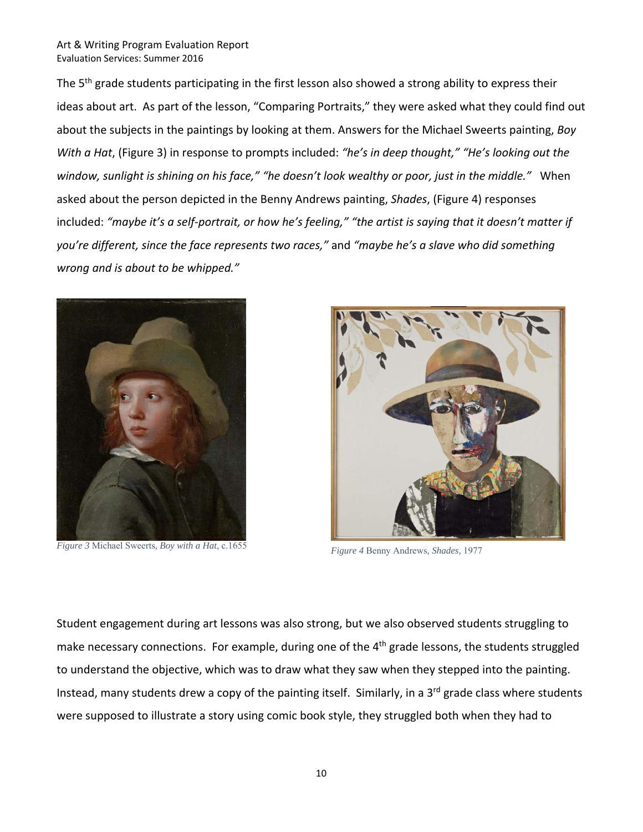The 5<sup>th</sup> grade students participating in the first lesson also showed a strong ability to express their ideas about art. As part of the lesson, "Comparing Portraits," they were asked what they could find out about the subjects in the paintings by looking at them. Answers for the Michael Sweerts painting, *Boy With a Hat*, (Figure 3) in response to prompts included: *"he's in deep thought," "He's looking out the window, sunlight is shining on his face," "he doesn't look wealthy or poor, just in the middle."* When asked about the person depicted in the Benny Andrews painting, *Shades*, (Figure 4) responses included: *"maybe it's a self‐portrait, or how he's feeling," "the artist is saying that it doesn't matter if you're different, since the face represents two races,"* and *"maybe he's a slave who did something wrong and is about to be whipped."* 



*Figure 3* Michael Sweerts*, Boy with a Hat*, c.1655



*Figure 4* Benny Andrews*, Shades,* 1977

Student engagement during art lessons was also strong, but we also observed students struggling to make necessary connections. For example, during one of the 4<sup>th</sup> grade lessons, the students struggled to understand the objective, which was to draw what they saw when they stepped into the painting. Instead, many students drew a copy of the painting itself. Similarly, in a 3<sup>rd</sup> grade class where students were supposed to illustrate a story using comic book style, they struggled both when they had to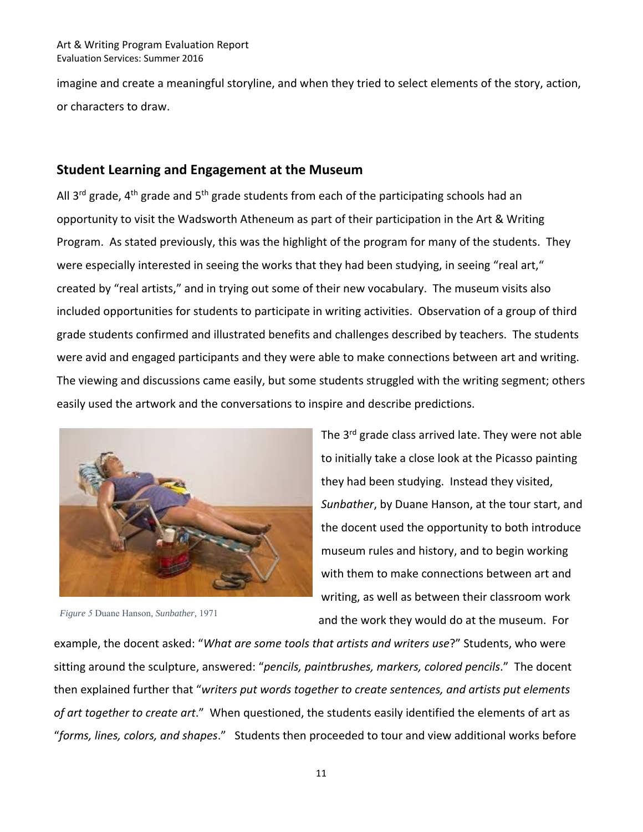imagine and create a meaningful storyline, and when they tried to select elements of the story, action, or characters to draw.

#### **Student Learning and Engagement at the Museum**

All 3<sup>rd</sup> grade, 4<sup>th</sup> grade and 5<sup>th</sup> grade students from each of the participating schools had an opportunity to visit the Wadsworth Atheneum as part of their participation in the Art & Writing Program. As stated previously, this was the highlight of the program for many of the students. They were especially interested in seeing the works that they had been studying, in seeing "real art," created by "real artists," and in trying out some of their new vocabulary. The museum visits also included opportunities for students to participate in writing activities. Observation of a group of third grade students confirmed and illustrated benefits and challenges described by teachers. The students were avid and engaged participants and they were able to make connections between art and writing. The viewing and discussions came easily, but some students struggled with the writing segment; others easily used the artwork and the conversations to inspire and describe predictions.



*Figure 5* Duane Hanson*, Sunbather,* 1971

The 3<sup>rd</sup> grade class arrived late. They were not able to initially take a close look at the Picasso painting they had been studying. Instead they visited, *Sunbather*, by Duane Hanson, at the tour start, and the docent used the opportunity to both introduce museum rules and history, and to begin working with them to make connections between art and writing, as well as between their classroom work and the work they would do at the museum. For

example, the docent asked: "*What are some tools that artists and writers use*?" Students, who were sitting around the sculpture, answered: "*pencils, paintbrushes, markers, colored pencils*." The docent then explained further that "*writers put words together to create sentences, and artists put elements of art together to create art*." When questioned, the students easily identified the elements of art as "*forms, lines, colors, and shapes*." Students then proceeded to tour and view additional works before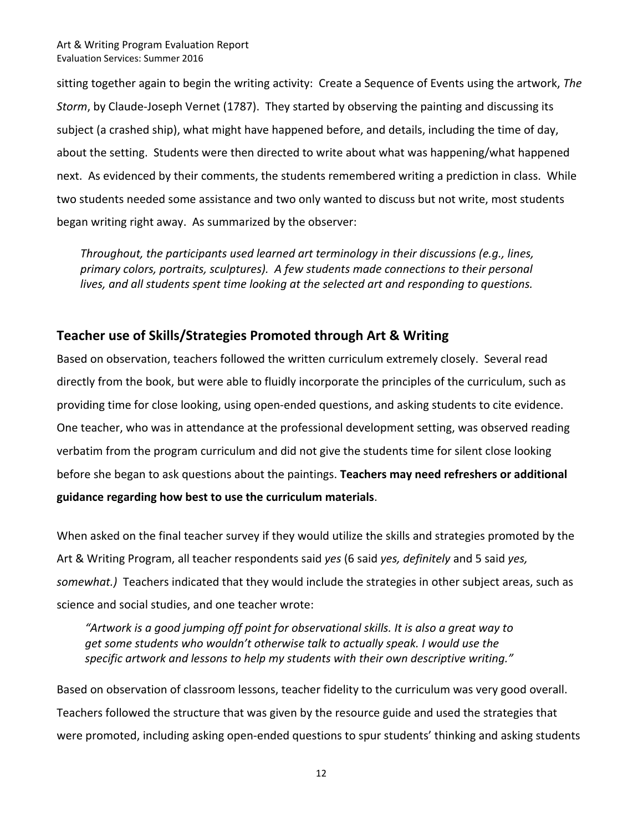sitting together again to begin the writing activity: Create a Sequence of Events using the artwork, *The Storm*, by Claude‐Joseph Vernet (1787). They started by observing the painting and discussing its subject (a crashed ship), what might have happened before, and details, including the time of day, about the setting. Students were then directed to write about what was happening/what happened next. As evidenced by their comments, the students remembered writing a prediction in class. While two students needed some assistance and two only wanted to discuss but not write, most students began writing right away. As summarized by the observer:

*Throughout, the participants used learned art terminology in their discussions (e.g., lines, primary colors, portraits, sculptures). A few students made connections to their personal lives, and all students spent time looking at the selected art and responding to questions.* 

### **Teacher use of Skills/Strategies Promoted through Art & Writing**

Based on observation, teachers followed the written curriculum extremely closely. Several read directly from the book, but were able to fluidly incorporate the principles of the curriculum, such as providing time for close looking, using open‐ended questions, and asking students to cite evidence. One teacher, who was in attendance at the professional development setting, was observed reading verbatim from the program curriculum and did not give the students time for silent close looking before she began to ask questions about the paintings. **Teachers may need refreshers or additional guidance regarding how best to use the curriculum materials**.

When asked on the final teacher survey if they would utilize the skills and strategies promoted by the Art & Writing Program, all teacher respondents said *yes* (6 said *yes, definitely* and 5 said *yes, somewhat.)* Teachers indicated that they would include the strategies in other subject areas, such as science and social studies, and one teacher wrote:

*"Artwork is a good jumping off point for observational skills. It is also a great way to get some students who wouldn't otherwise talk to actually speak. I would use the specific artwork and lessons to help my students with their own descriptive writing."* 

Based on observation of classroom lessons, teacher fidelity to the curriculum was very good overall. Teachers followed the structure that was given by the resource guide and used the strategies that were promoted, including asking open-ended questions to spur students' thinking and asking students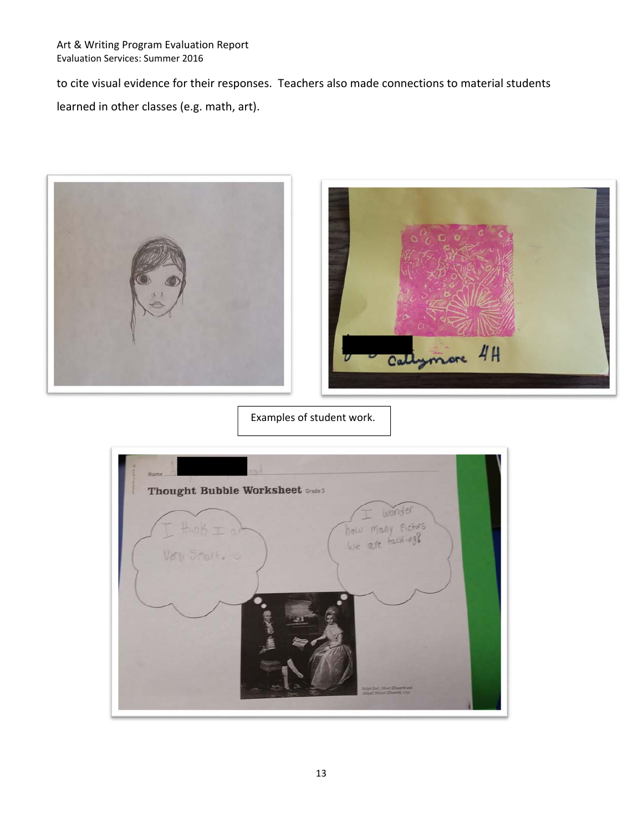to cite visual evidence for their responses. Teachers also made connections to material students

learned in other classes (e.g. math, art).





Examples of student work.

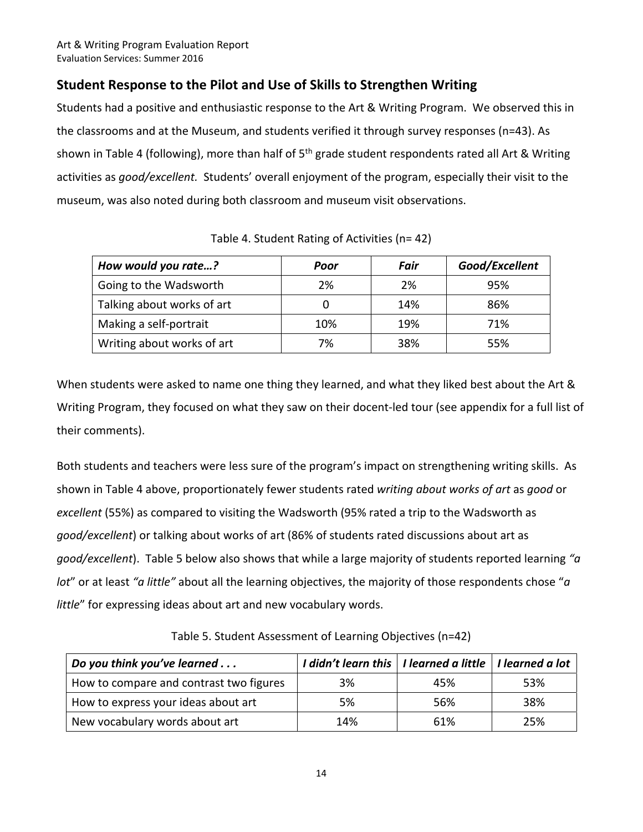## **Student Response to the Pilot and Use of Skills to Strengthen Writing**

Students had a positive and enthusiastic response to the Art & Writing Program. We observed this in the classrooms and at the Museum, and students verified it through survey responses (n=43). As shown in Table 4 (following), more than half of  $5<sup>th</sup>$  grade student respondents rated all Art & Writing activities as *good/excellent*. Students' overall enjoyment of the program, especially their visit to the museum, was also noted during both classroom and museum visit observations.

| How would you rate?        | Poor | Fair | Good/Excellent |
|----------------------------|------|------|----------------|
| Going to the Wadsworth     | 2%   | 2%   | 95%            |
| Talking about works of art |      | 14%  | 86%            |
| Making a self-portrait     | 10%  | 19%  | 71%            |
| Writing about works of art | 7%   | 38%  | 55%            |

Table 4. Student Rating of Activities (n= 42)

When students were asked to name one thing they learned, and what they liked best about the Art & Writing Program, they focused on what they saw on their docent‐led tour (see appendix for a full list of their comments).

Both students and teachers were less sure of the program's impact on strengthening writing skills. As shown in Table 4 above, proportionately fewer students rated *writing about works of art* as *good* or *excellent* (55%) as compared to visiting the Wadsworth (95% rated a trip to the Wadsworth as *good/excellent*) or talking about works of art (86% of students rated discussions about art as *good/excellent*). Table 5 below also shows that while a large majority of students reported learning *"a lot*" or at least *"a little"* about all the learning objectives, the majority of those respondents chose "*a little*" for expressing ideas about art and new vocabulary words.

Table 5. Student Assessment of Learning Objectives (n=42)

| Do you think you've learned             | I didn't learn this   I learned a little   I learned a lot |     |     |
|-----------------------------------------|------------------------------------------------------------|-----|-----|
| How to compare and contrast two figures | 3%                                                         | 45% | 53% |
| How to express your ideas about art     | 5%                                                         | 56% | 38% |
| New vocabulary words about art          | 14%                                                        | 61% | 25% |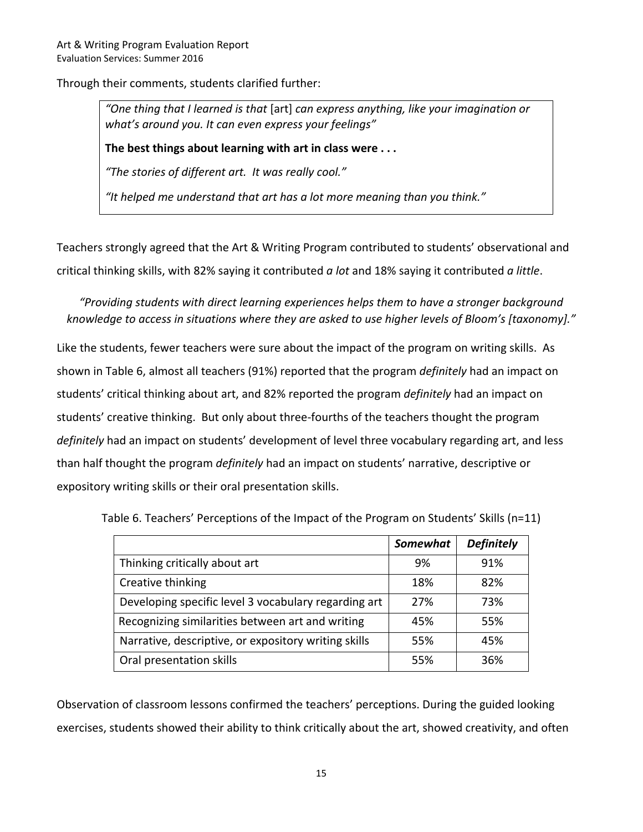Through their comments, students clarified further:

*"One thing that I learned is that* [art] *can express anything, like your imagination or what's around you. It can even express your feelings"* 

**The best things about learning with art in class were . . .** 

*"The stories of different art. It was really cool."* 

*"It helped me understand that art has a lot more meaning than you think."* 

Teachers strongly agreed that the Art & Writing Program contributed to students' observational and critical thinking skills, with 82% saying it contributed *a lot* and 18% saying it contributed *a little*.

*"Providing students with direct learning experiences helps them to have a stronger background knowledge to access in situations where they are asked to use higher levels of Bloom's [taxonomy]."* 

Like the students, fewer teachers were sure about the impact of the program on writing skills. As shown in Table 6, almost all teachers (91%) reported that the program *definitely* had an impact on students' critical thinking about art, and 82% reported the program *definitely* had an impact on students' creative thinking. But only about three‐fourths of the teachers thought the program *definitely* had an impact on students' development of level three vocabulary regarding art, and less than half thought the program *definitely* had an impact on students' narrative, descriptive or expository writing skills or their oral presentation skills.

Table 6. Teachers' Perceptions of the Impact of the Program on Students' Skills (n=11)

|                                                      | Somewhat | <b>Definitely</b> |
|------------------------------------------------------|----------|-------------------|
| Thinking critically about art                        | 9%       | 91%               |
| Creative thinking                                    | 18%      | 82%               |
| Developing specific level 3 vocabulary regarding art | 27%      | 73%               |
| Recognizing similarities between art and writing     | 45%      | 55%               |
| Narrative, descriptive, or expository writing skills | 55%      | 45%               |
| Oral presentation skills                             | 55%      | 36%               |

Observation of classroom lessons confirmed the teachers' perceptions. During the guided looking exercises, students showed their ability to think critically about the art, showed creativity, and often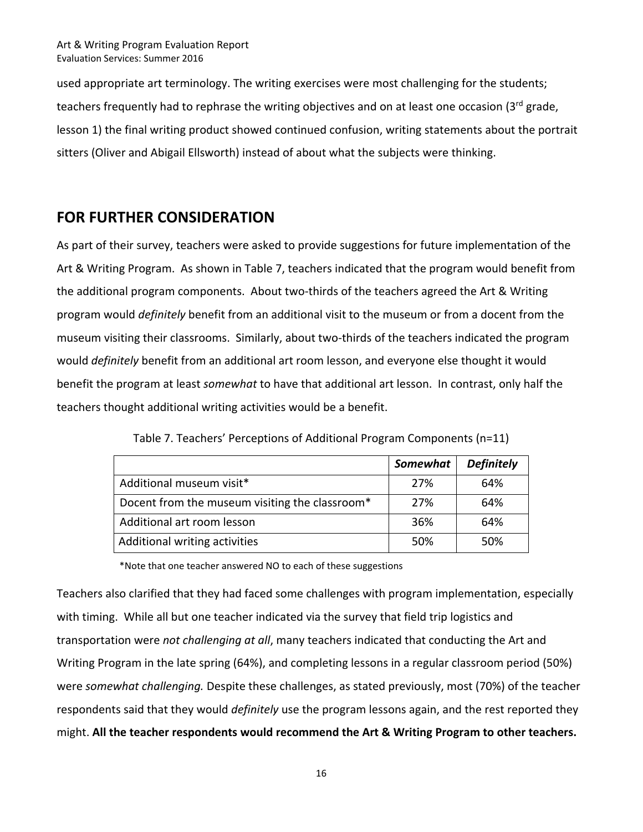used appropriate art terminology. The writing exercises were most challenging for the students; teachers frequently had to rephrase the writing objectives and on at least one occasion (3<sup>rd</sup> grade, lesson 1) the final writing product showed continued confusion, writing statements about the portrait sitters (Oliver and Abigail Ellsworth) instead of about what the subjects were thinking.

# **FOR FURTHER CONSIDERATION**

As part of their survey, teachers were asked to provide suggestions for future implementation of the Art & Writing Program. As shown in Table 7, teachers indicated that the program would benefit from the additional program components. About two‐thirds of the teachers agreed the Art & Writing program would *definitely* benefit from an additional visit to the museum or from a docent from the museum visiting their classrooms. Similarly, about two‐thirds of the teachers indicated the program would *definitely* benefit from an additional art room lesson, and everyone else thought it would benefit the program at least *somewhat* to have that additional art lesson. In contrast, only half the teachers thought additional writing activities would be a benefit.

|                                                | Somewhat | <b>Definitely</b> |
|------------------------------------------------|----------|-------------------|
| Additional museum visit*                       | 27%      | 64%               |
| Docent from the museum visiting the classroom* | 27%      | 64%               |
| Additional art room lesson                     | 36%      | 64%               |
| Additional writing activities                  | 50%      | 50%               |

Table 7. Teachers' Perceptions of Additional Program Components (n=11)

\*Note that one teacher answered NO to each of these suggestions

Teachers also clarified that they had faced some challenges with program implementation, especially with timing. While all but one teacher indicated via the survey that field trip logistics and transportation were *not challenging at all*, many teachers indicated that conducting the Art and Writing Program in the late spring (64%), and completing lessons in a regular classroom period (50%) were *somewhat challenging.* Despite these challenges, as stated previously, most (70%) of the teacher respondents said that they would *definitely* use the program lessons again, and the rest reported they might. **All the teacher respondents would recommend the Art & Writing Program to other teachers.**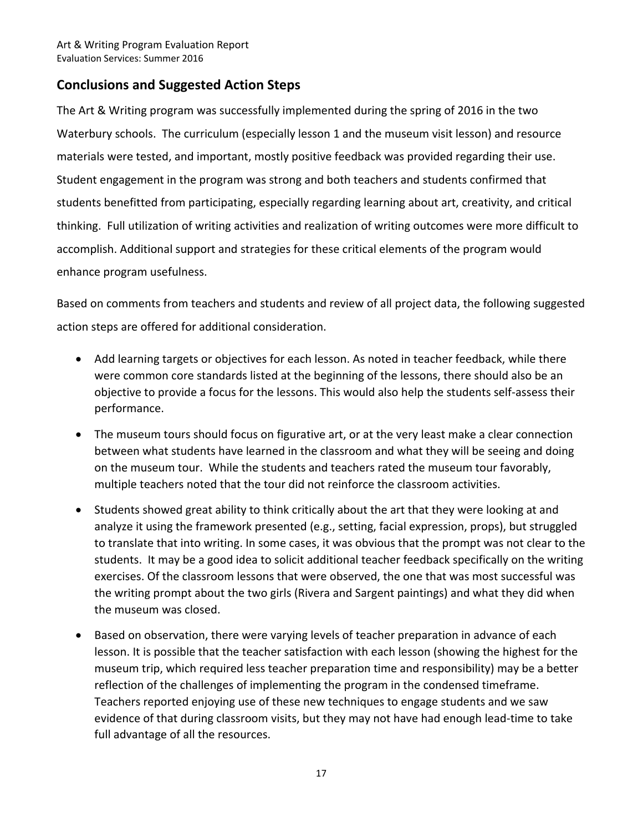## **Conclusions and Suggested Action Steps**

The Art & Writing program was successfully implemented during the spring of 2016 in the two Waterbury schools. The curriculum (especially lesson 1 and the museum visit lesson) and resource materials were tested, and important, mostly positive feedback was provided regarding their use. Student engagement in the program was strong and both teachers and students confirmed that students benefitted from participating, especially regarding learning about art, creativity, and critical thinking. Full utilization of writing activities and realization of writing outcomes were more difficult to accomplish. Additional support and strategies for these critical elements of the program would enhance program usefulness.

Based on comments from teachers and students and review of all project data, the following suggested action steps are offered for additional consideration.

- Add learning targets or objectives for each lesson. As noted in teacher feedback, while there were common core standards listed at the beginning of the lessons, there should also be an objective to provide a focus for the lessons. This would also help the students self‐assess their performance.
- The museum tours should focus on figurative art, or at the very least make a clear connection between what students have learned in the classroom and what they will be seeing and doing on the museum tour. While the students and teachers rated the museum tour favorably, multiple teachers noted that the tour did not reinforce the classroom activities.
- Students showed great ability to think critically about the art that they were looking at and analyze it using the framework presented (e.g., setting, facial expression, props), but struggled to translate that into writing. In some cases, it was obvious that the prompt was not clear to the students. It may be a good idea to solicit additional teacher feedback specifically on the writing exercises. Of the classroom lessons that were observed, the one that was most successful was the writing prompt about the two girls (Rivera and Sargent paintings) and what they did when the museum was closed.
- Based on observation, there were varying levels of teacher preparation in advance of each lesson. It is possible that the teacher satisfaction with each lesson (showing the highest for the museum trip, which required less teacher preparation time and responsibility) may be a better reflection of the challenges of implementing the program in the condensed timeframe. Teachers reported enjoying use of these new techniques to engage students and we saw evidence of that during classroom visits, but they may not have had enough lead-time to take full advantage of all the resources.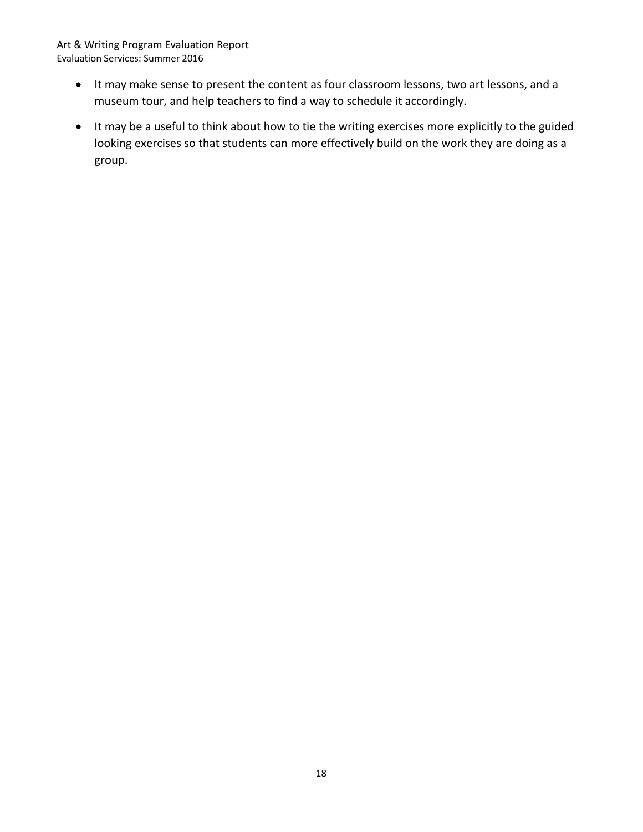- It may make sense to present the content as four classroom lessons, two art lessons, and a museum tour, and help teachers to find a way to schedule it accordingly.
- It may be a useful to think about how to tie the writing exercises more explicitly to the guided looking exercises so that students can more effectively build on the work they are doing as a group.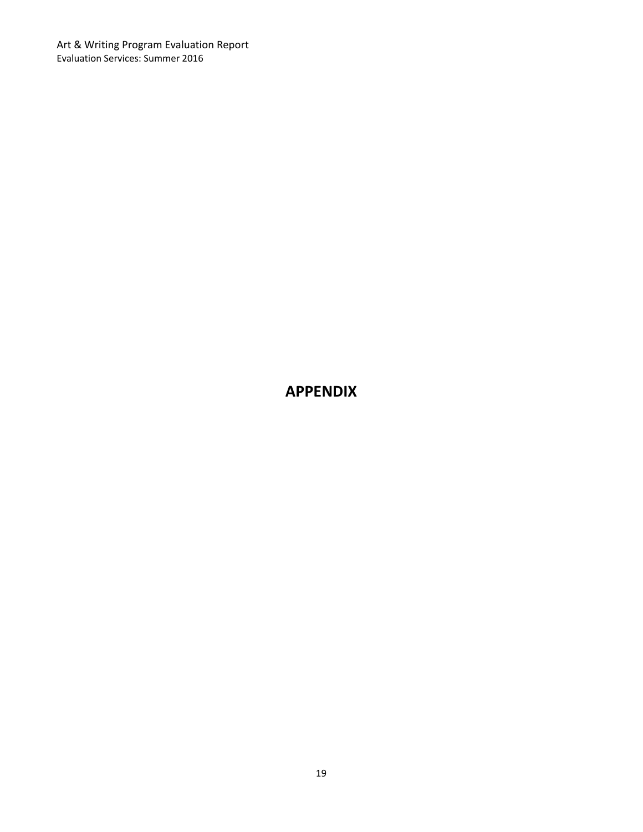# **APPENDIX**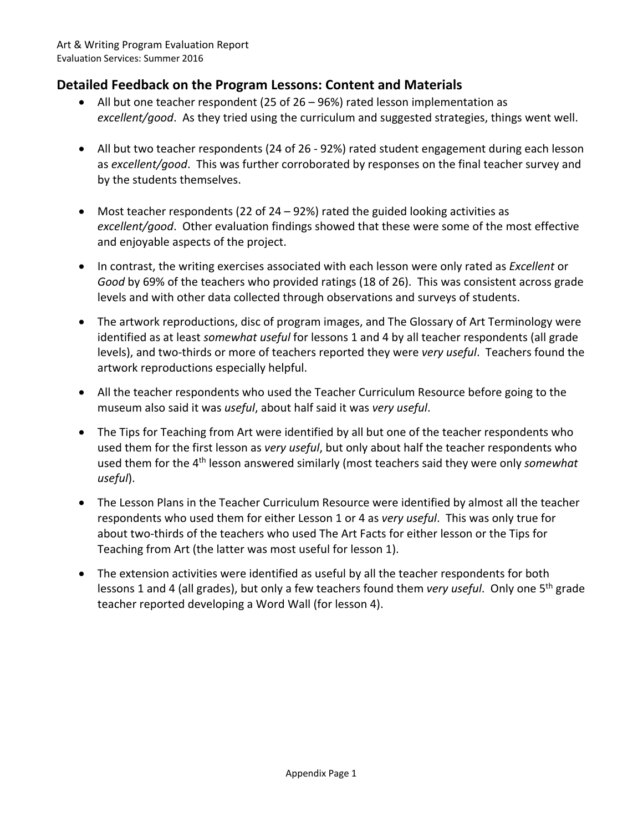# **Detailed Feedback on the Program Lessons: Content and Materials**

- All but one teacher respondent (25 of 26 96%) rated lesson implementation as *excellent/good*. As they tried using the curriculum and suggested strategies, things went well.
- All but two teacher respondents (24 of 26 ‐ 92%) rated student engagement during each lesson as *excellent/good*. This was further corroborated by responses on the final teacher survey and by the students themselves.
- Most teacher respondents (22 of 24 92%) rated the guided looking activities as *excellent/good*. Other evaluation findings showed that these were some of the most effective and enjoyable aspects of the project.
- In contrast, the writing exercises associated with each lesson were only rated as *Excellent* or *Good* by 69% of the teachers who provided ratings (18 of 26). This was consistent across grade levels and with other data collected through observations and surveys of students.
- The artwork reproductions, disc of program images, and The Glossary of Art Terminology were identified as at least *somewhat useful* for lessons 1 and 4 by all teacher respondents (all grade levels), and two‐thirds or more of teachers reported they were *very useful*. Teachers found the artwork reproductions especially helpful.
- All the teacher respondents who used the Teacher Curriculum Resource before going to the museum also said it was *useful*, about half said it was *very useful*.
- The Tips for Teaching from Art were identified by all but one of the teacher respondents who used them for the first lesson as *very useful*, but only about half the teacher respondents who used them for the 4th lesson answered similarly (most teachers said they were only *somewhat useful*).
- The Lesson Plans in the Teacher Curriculum Resource were identified by almost all the teacher respondents who used them for either Lesson 1 or 4 as *very useful*. This was only true for about two-thirds of the teachers who used The Art Facts for either lesson or the Tips for Teaching from Art (the latter was most useful for lesson 1).
- The extension activities were identified as useful by all the teacher respondents for both lessons 1 and 4 (all grades), but only a few teachers found them *very useful*. Only one 5<sup>th</sup> grade teacher reported developing a Word Wall (for lesson 4).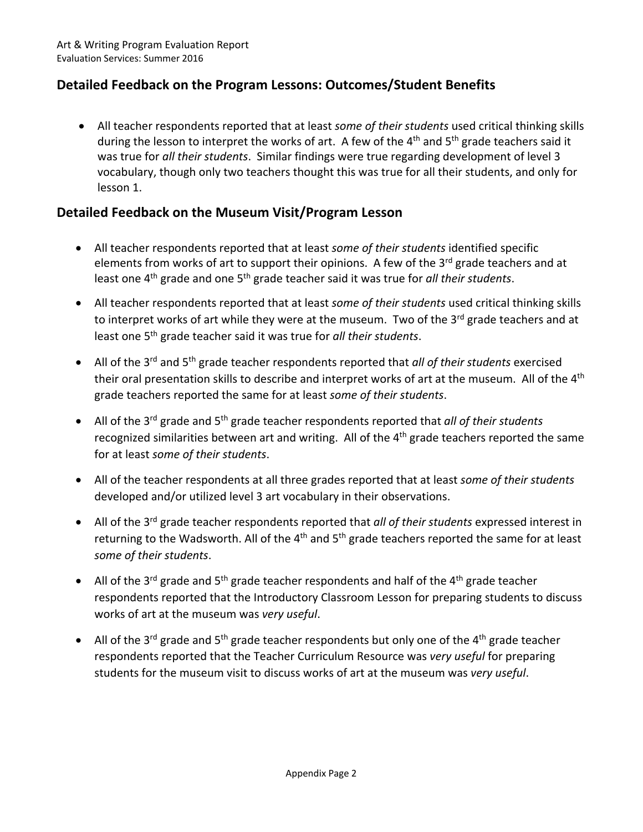# **Detailed Feedback on the Program Lessons: Outcomes/Student Benefits**

 All teacher respondents reported that at least *some of their students* used critical thinking skills during the lesson to interpret the works of art. A few of the  $4<sup>th</sup>$  and  $5<sup>th</sup>$  grade teachers said it was true for *all their students*. Similar findings were true regarding development of level 3 vocabulary, though only two teachers thought this was true for all their students, and only for lesson 1.

## **Detailed Feedback on the Museum Visit/Program Lesson**

- All teacher respondents reported that at least *some of their students* identified specific elements from works of art to support their opinions. A few of the  $3<sup>rd</sup>$  grade teachers and at least one 4th grade and one 5th grade teacher said it was true for *all their students*.
- All teacher respondents reported that at least *some of their students* used critical thinking skills to interpret works of art while they were at the museum. Two of the 3<sup>rd</sup> grade teachers and at least one 5th grade teacher said it was true for *all their students*.
- All of the 3rd and 5th grade teacher respondents reported that *all of their students* exercised their oral presentation skills to describe and interpret works of art at the museum. All of the 4<sup>th</sup> grade teachers reported the same for at least *some of their students*.
- All of the 3rd grade and 5th grade teacher respondents reported that *all of their students* recognized similarities between art and writing. All of the 4<sup>th</sup> grade teachers reported the same for at least *some of their students*.
- All of the teacher respondents at all three grades reported that at least *some of their students* developed and/or utilized level 3 art vocabulary in their observations.
- All of the 3rd grade teacher respondents reported that *all of their students* expressed interest in returning to the Wadsworth. All of the  $4<sup>th</sup>$  and  $5<sup>th</sup>$  grade teachers reported the same for at least *some of their students*.
- All of the 3<sup>rd</sup> grade and 5<sup>th</sup> grade teacher respondents and half of the 4<sup>th</sup> grade teacher respondents reported that the Introductory Classroom Lesson for preparing students to discuss works of art at the museum was *very useful*.
- All of the 3<sup>rd</sup> grade and 5<sup>th</sup> grade teacher respondents but only one of the 4<sup>th</sup> grade teacher respondents reported that the Teacher Curriculum Resource was *very useful* for preparing students for the museum visit to discuss works of art at the museum was *very useful*.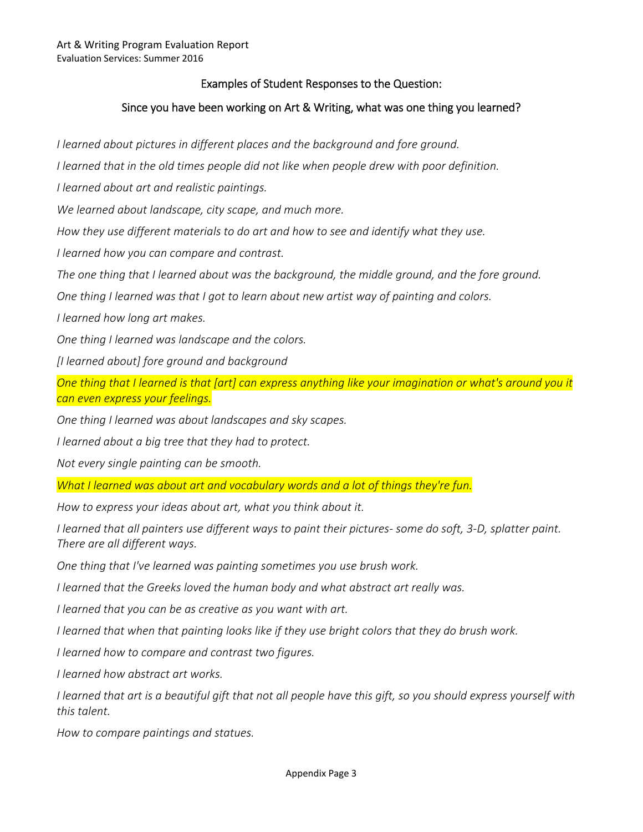#### Examples of Student Responses to the Question:

#### Since you have been working on Art & Writing, what was one thing you learned?

*I learned about pictures in different places and the background and fore ground.* 

*I* learned that in the old times people did not like when people drew with poor definition.

*I learned about art and realistic paintings.* 

We learned about landscape, city scape, and much more.

*How they use different materials to do art and how to see and identify what they use.* 

*I learned how you can compare and contrast.* 

The one thing that I learned about was the background, the middle ground, and the fore ground.

*One thing I learned was that I got to learn about new artist way of painting and colors.* 

*I learned how long art makes.* 

*One thing I learned was landscape and the colors.* 

*[I learned about] fore ground and background* 

*One thing that I learned is that [art] can express anything like your imagination or what's around you it can even express your feelings.* 

*One thing I learned was about landscapes and sky scapes.* 

*I* learned about a big tree that they had to protect.

*Not every single painting can be smooth.* 

*What I learned was about art and vocabulary words and a lot of things they're fun.* 

*How to express your ideas about art, what you think about it.* 

*I learned that all painters use different ways to paint their pictures‐ some do soft, 3‐D, splatter paint. There are all different ways.* 

*One thing that I've learned was painting sometimes you use brush work.* 

*I* learned that the Greeks loved the human body and what abstract art really was.

*I learned that you can be as creative as you want with art.* 

*I learned that when that painting looks like if they use bright colors that they do brush work.* 

*I learned how to compare and contrast two figures.* 

*I learned how abstract art works.* 

*I learned that art is a beautiful gift that not all people have this gift, so you should express yourself with this talent.* 

*How to compare paintings and statues.*